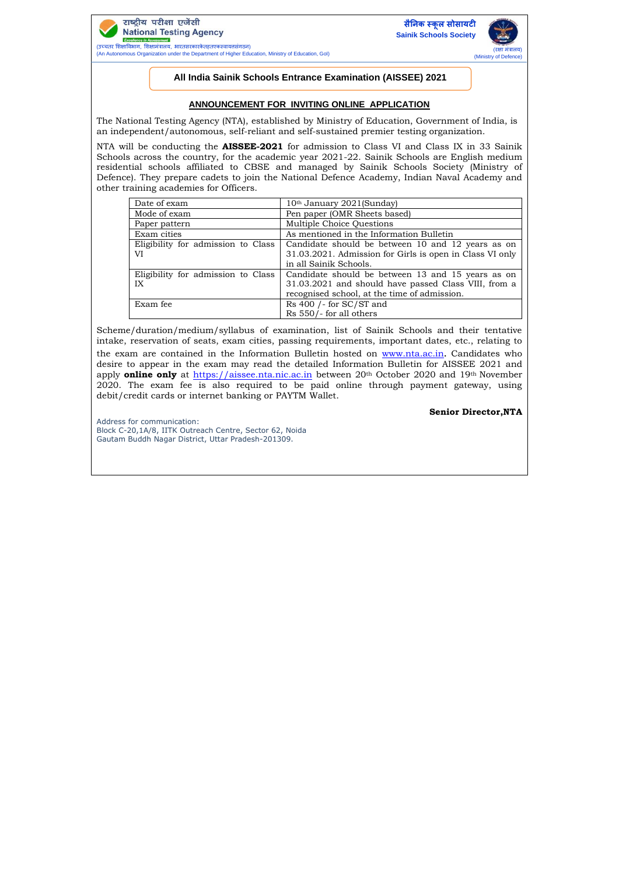

(An Autonomous Organization under the Department of Higher Education, Ministry of Education, GoI)





## **All India Sainik Schools Entrance Examination (AISSEE) 2021**

## **ANNOUNCEMENT FOR INVITING ONLINE APPLICATION**

The National Testing Agency (NTA), established by Ministry of Education, Government of India, is an independent/autonomous, self-reliant and self-sustained premier testing organization.

NTA will be conducting the **AISSEE-2021** for admission to Class VI and Class IX in 33 Sainik Schools across the country, for the academic year 2021-22. Sainik Schools are English medium residential schools affiliated to CBSE and managed by Sainik Schools Society (Ministry of Defence). They prepare cadets to join the National Defence Academy, Indian Naval Academy and other training academies for Officers.

| Date of exam                             | 10 <sup>th</sup> January 2021(Sunday)                                                                         |
|------------------------------------------|---------------------------------------------------------------------------------------------------------------|
| Mode of exam                             | Pen paper (OMR Sheets based)                                                                                  |
| Paper pattern                            | Multiple Choice Ouestions                                                                                     |
| Exam cities                              | As mentioned in the Information Bulletin                                                                      |
| Eligibility for admission to Class<br>VI | Candidate should be between 10 and 12 years as on<br>31.03.2021. Admission for Girls is open in Class VI only |
|                                          | in all Sainik Schools.                                                                                        |
| Eligibility for admission to Class       | Candidate should be between 13 and 15 years as on                                                             |
| IX                                       | 31.03.2021 and should have passed Class VIII, from a                                                          |
|                                          | recognised school, at the time of admission.                                                                  |
| Exam fee                                 | Rs $400$ /- for SC/ST and                                                                                     |
|                                          | Rs 550/- for all others                                                                                       |

Scheme/duration/medium/syllabus of examination, list of Sainik Schools and their tentative intake, reservation of seats, exam cities, passing requirements, important dates, etc., relating to the exam are contained in the Information Bulletin hosted on [www.nta.ac.in](http://www.nta.ac.in/). Candidates who desire to appear in the exam may read the detailed Information Bulletin for AISSEE 2021 and apply **online only** at [https://aissee.nta.nic.ac.in](https://aissee.nta.nic.ac.in/) between 20<sup>th</sup> October 2020 and 19<sup>th</sup> November 2020. The exam fee is also required to be paid online through payment gateway, using debit/credit cards or internet banking or PAYTM Wallet.

## **Senior Director,NTA**

Address for communication: Block C-20,1A/8, IITK Outreach Centre, Sector 62, Noida Gautam Buddh Nagar District, Uttar Pradesh-201309.